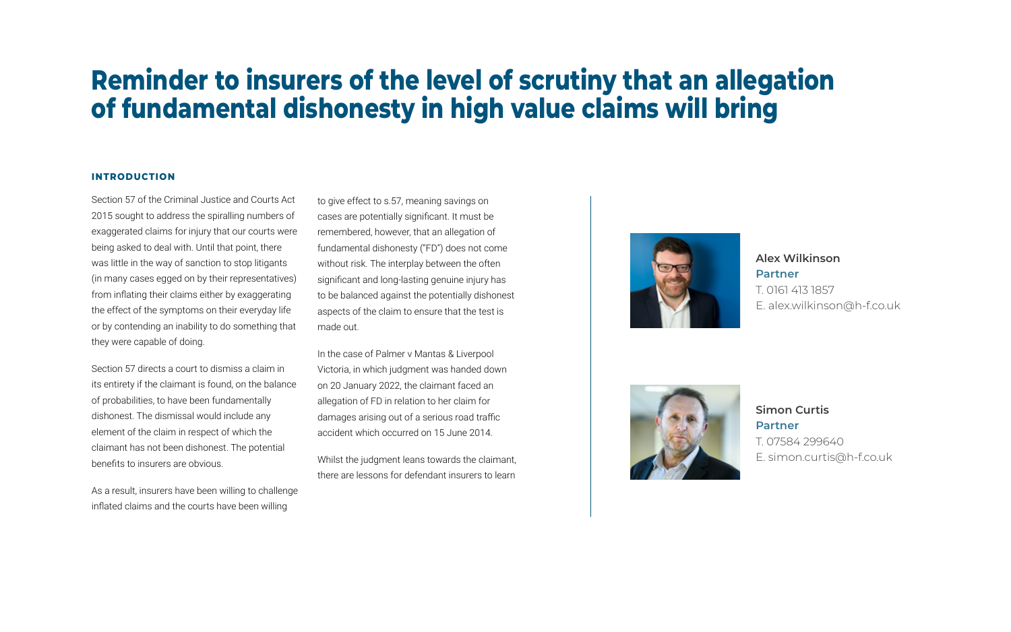Section 57 of the Criminal Justice and Courts Act 2015 sought to address the spiralling numbers of exaggerated claims for injury that our courts were being asked to deal with. Until that point, there was little in the way of sanction to stop litigants (in many cases egged on by their representatives) from inflating their claims either by exaggerating the effect of the symptoms on their everyday life or by contending an inability to do something that they were capable of doing.

Section 57 directs a court to dismiss a claim in its entirety if the claimant is found, on the balance of probabilities, to have been fundamentally dishonest. The dismissal would include any element of the claim in respect of which the claimant has not been dishonest. The potential benefits to insurers are obvious.

As a result, insurers have been willing to challenge inflated claims and the courts have been willing

to give effect to s.57, meaning savings on cases are potentially significant. It must be remembered, however, that an allegation of fundamental dishonesty ("FD") does not come without risk. The interplay between the often significant and long-lasting genuine injury has to be balanced against the potentially dishonest aspects of the claim to ensure that the test is made out.

In the case of Palmer v Mantas & Liverpool Victoria, in which judgment was handed down on 20 January 2022, the claimant faced an allegation of FD in relation to her claim for damages arising out of a serious road traffic accident which occurred on 15 June 2014.

Whilst the judgment leans towards the claimant, there are lessons for defendant insurers to learn







## **INTRODUCTION**

# **Reminder to insurers of the level of scrutiny that an allegation of fundamental dishonesty in high value claims will bring**

**Alex Wilkinson**

## **Partner**

T. 0161 413 1857 E. alex.wilkinson@h-f.co.uk



**Simon Curtis Partner** T. 07584 299640 E. simon.curtis@h-f.co.uk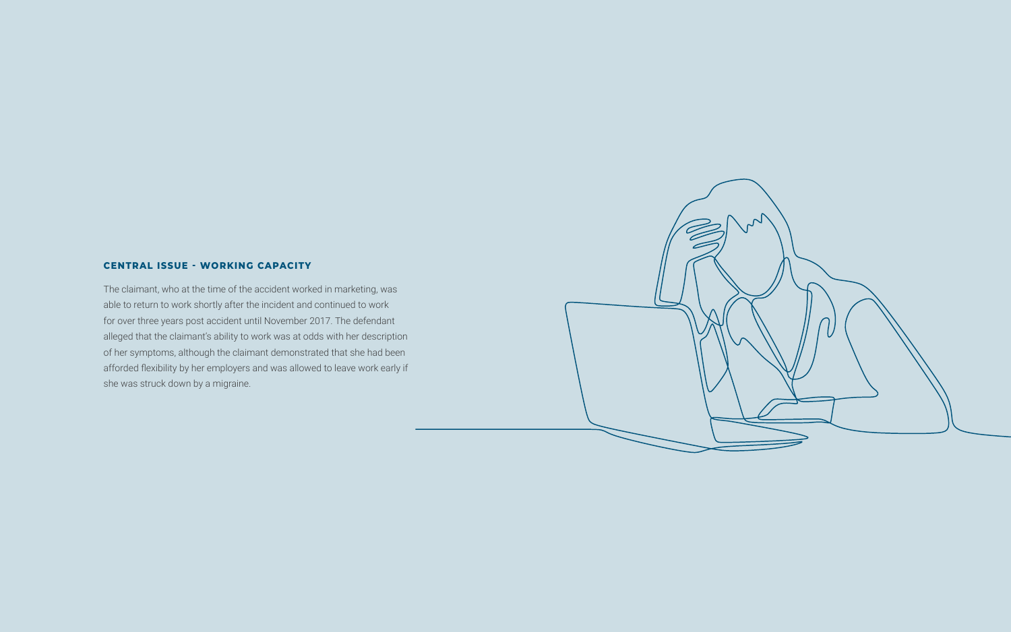The claimant, who at the time of the accident worked in marketing, was able to return to work shortly after the incident and continued to work for over three years post accident until November 2017. The defendant alleged that the claimant's ability to work was at odds with her description of her symptoms, although the claimant demonstrated that she had been afforded flexibility by her employers and was allowed to leave work early if she was struck down by a migraine.



## **CENTRAL ISSUE - WORKING CAPACITY**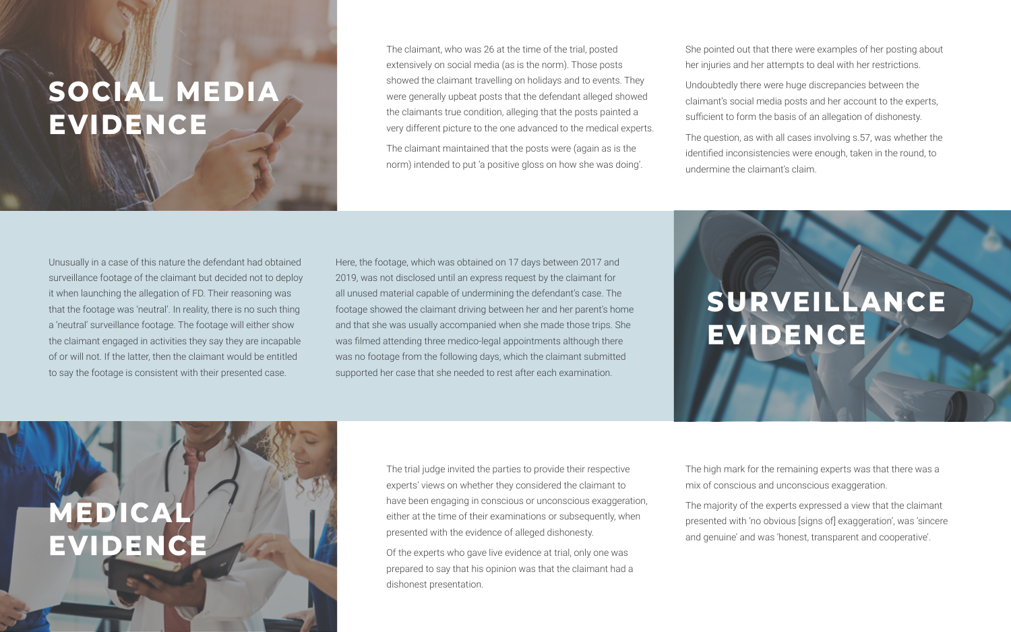The trial judge invited the parties to provide their respective experts' views on whether they considered the claimant to have been engaging in conscious or unconscious exaggeration, either at the time of their examinations or subsequently, when presented with the evidence of alleged dishonesty.

Of the experts who gave live evidence at trial, only one was prepared to say that his opinion was that the claimant had a dishonest presentation.

The claimant, who was 26 at the time of the trial, posted extensively on social media (as is the norm). Those posts showed the claimant travelling on holidays and to events. They were generally upbeat posts that the defendant alleged showed the claimants true condition, alleging that the posts painted a very different picture to the one advanced to the medical experts.

**MEDICAL EVIDENCI**  The claimant maintained that the posts were (again as is the norm) intended to put 'a positive gloss on how she was doing'.

# **SOCIAL MEDIA EVIDENCE**

She pointed out that there were examples of her posting about her injuries and her attempts to deal with her restrictions.

Undoubtedly there were huge discrepancies between the claimant's social media posts and her account to the experts, sufficient to form the basis of an allegation of dishonesty.

The question, as with all cases involving s.57, was whether the identified inconsistencies were enough, taken in the round, to undermine the claimant's claim.

The high mark for the remaining experts was that there was a mix of conscious and unconscious exaggeration.

The majority of the experts expressed a view that the claimant presented with 'no obvious [signs of] exaggeration', was 'sincere and genuine' and was 'honest, transparent and cooperative'.

Unusually in a case of this nature the defendant had obtained surveillance footage of the claimant but decided not to deploy it when launching the allegation of FD. Their reasoning was that the footage was 'neutral'. In reality, there is no such thing a 'neutral' surveillance footage. The footage will either show the claimant engaged in activities they say they are incapable of or will not. If the latter, then the claimant would be entitled to say the footage is consistent with their presented case.

Here, the footage, which was obtained on 17 days between 2017 and 2019, was not disclosed until an express request by the claimant for all unused material capable of undermining the defendant's case. The footage showed the claimant driving between her and her parent's home and that she was usually accompanied when she made those trips. She was filmed attending three medico-legal appointments although there was no footage from the following days, which the claimant submitted supported her case that she needed to rest after each examination.

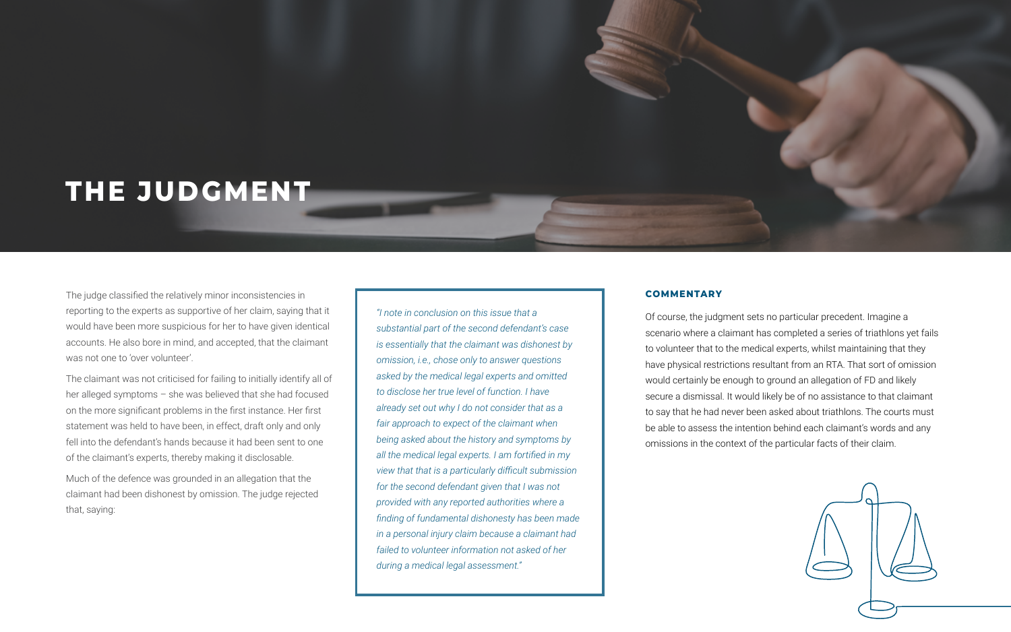The judge classified the relatively minor inconsistencies in reporting to the experts as supportive of her claim, saying that it would have been more suspicious for her to have given identical accounts. He also bore in mind, and accepted, that the claimant was not one to 'over volunteer'.

The claimant was not criticised for failing to initially identify all of her alleged symptoms – she was believed that she had focused on the more significant problems in the first instance. Her first statement was held to have been, in effect, draft only and only fell into the defendant's hands because it had been sent to one of the claimant's experts, thereby making it disclosable.

Much of the defence was grounded in an allegation that the claimant had been dishonest by omission. The judge rejected that, saying:

Of course, the judgment sets no particular precedent. Imagine a scenario where a claimant has completed a series of triathlons yet fails to volunteer that to the medical experts, whilst maintaining that they have physical restrictions resultant from an RTA. That sort of omission would certainly be enough to ground an allegation of FD and likely secure a dismissal. It would likely be of no assistance to that claimant to say that he had never been asked about triathlons. The courts must be able to assess the intention behind each claimant's words and any omissions in the context of the particular facts of their claim.





*"I note in conclusion on this issue that a substantial part of the second defendant's case is essentially that the claimant was dishonest by omission, i.e., chose only to answer questions asked by the medical legal experts and omitted to disclose her true level of function. I have already set out why I do not consider that as a fair approach to expect of the claimant when being asked about the history and symptoms by all the medical legal experts. I am fortified in my view that that is a particularly difficult submission for the second defendant given that I was not provided with any reported authorities where a finding of fundamental dishonesty has been made in a personal injury claim because a claimant had failed to volunteer information not asked of her during a medical legal assessment."*

# **THE JUDGMENT**

## **COMMENTARY**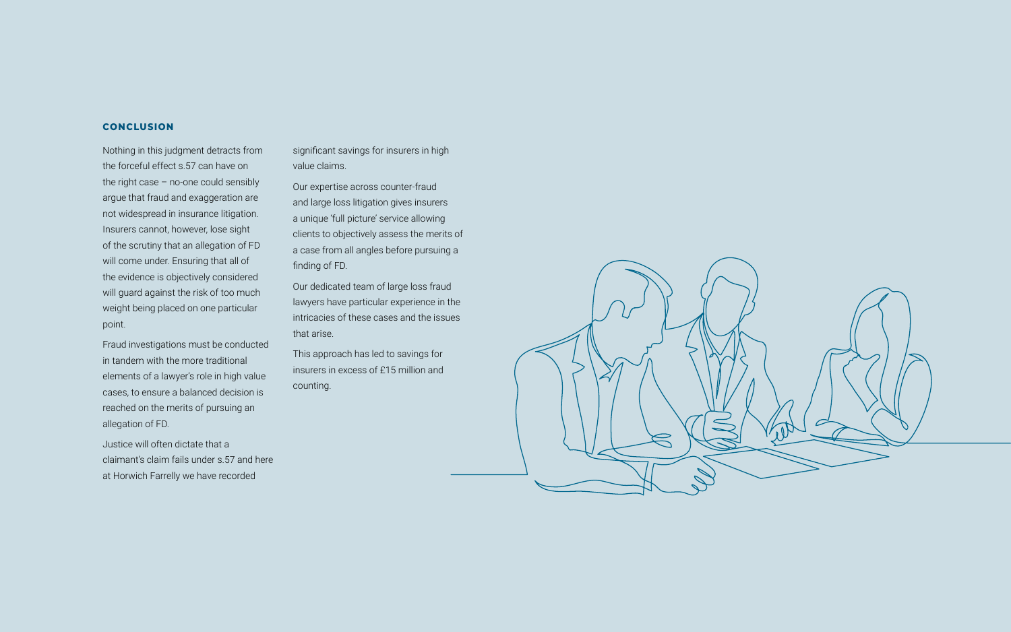Nothing in this judgment detracts from the forceful effect s.57 can have on the right case – no-one could sensibly argue that fraud and exaggeration are not widespread in insurance litigation. Insurers cannot, however, lose sight of the scrutiny that an allegation of FD will come under. Ensuring that all of the evidence is objectively considered will guard against the risk of too much weight being placed on one particular point.

Fraud investigations must be conducted in tandem with the more traditional elements of a lawyer's role in high value cases, to ensure a balanced decision is reached on the merits of pursuing an allegation of FD.

Justice will often dictate that a claimant's claim fails under s.57 and here at Horwich Farrelly we have recorded

### **CONCLUSION**

significant savings for insurers in high value claims.

Our expertise across counter-fraud and large loss litigation gives insurers a unique 'full picture' service allowing clients to objectively assess the merits of a case from all angles before pursuing a finding of FD.

Our dedicated team of large loss fraud lawyers have particular experience in the intricacies of these cases and the issues that arise.

This approach has led to savings for insurers in excess of £15 million and counting.

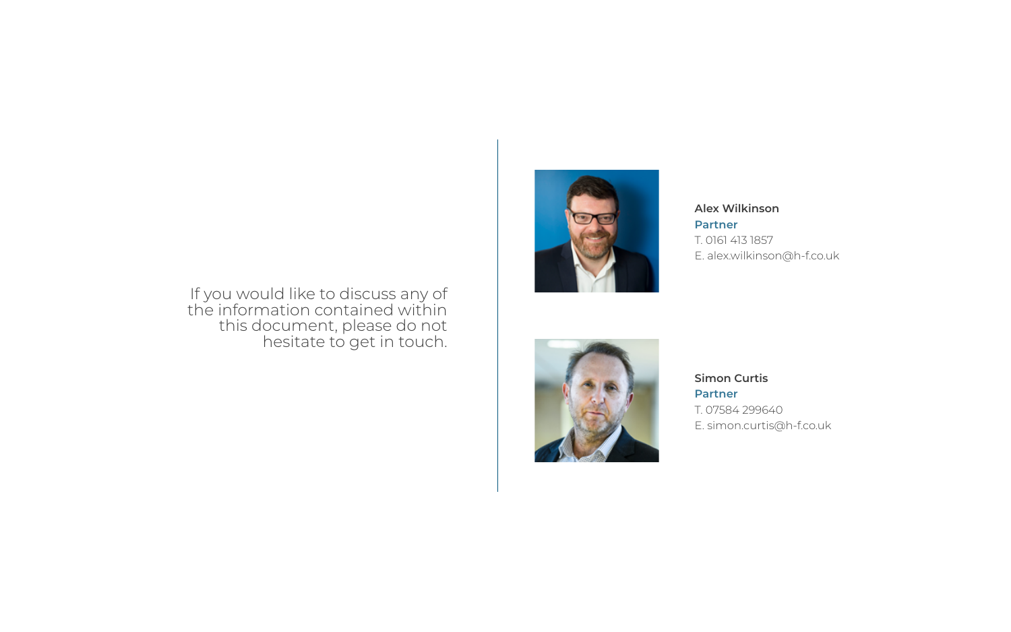## **Alex Wilkinson**

## **Partner**

T. 0161 413 1857 E. alex.wilkinson@h-f.co.uk

**Simon Curtis Partner** T. 07584 299640 E. simon.curtis@h-f.co.uk

## If you would like to discuss any of the information contained within this document, please do not hesitate to get in touch.